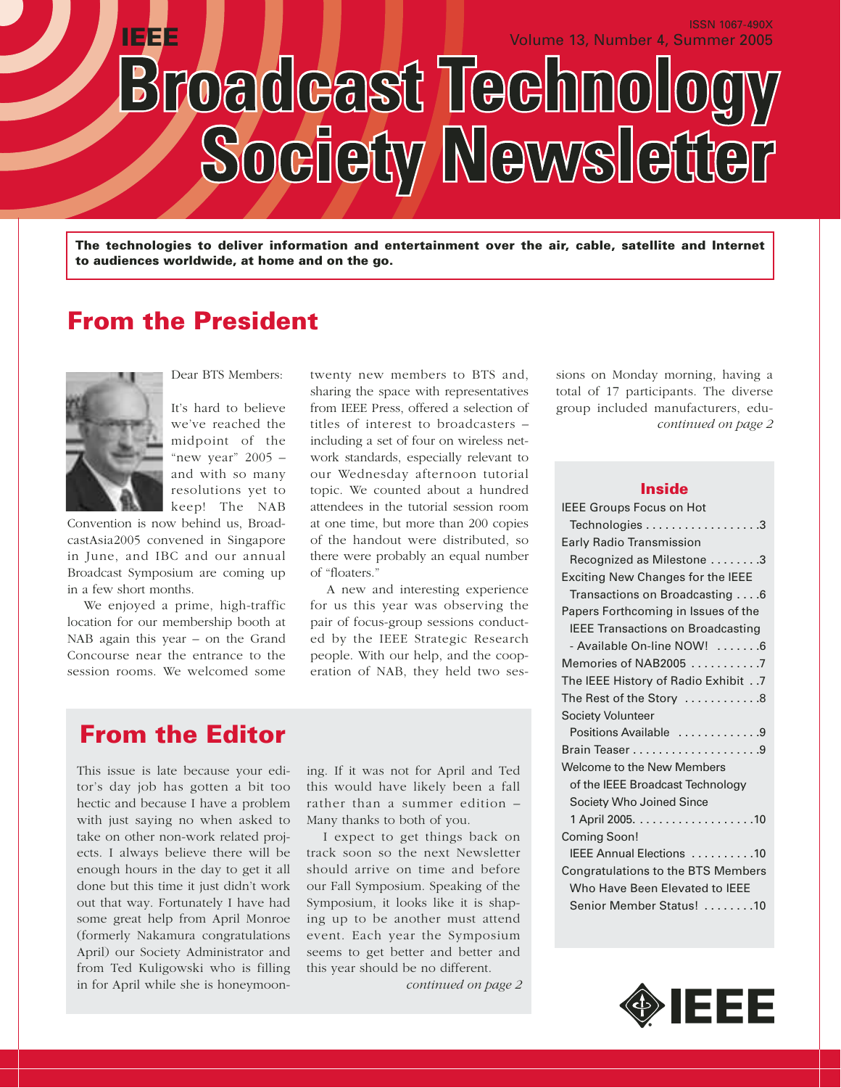**IEEE** Volume 13, Number 4, Summer 2005 Broadcast Technology Society Newsletter

**The technologies to deliver information and entertainment over the air, cable, satellite and Internet to audiences worldwide, at home and on the go.**

## **From the President**



Dear BTS Members:

It's hard to believe we've reached the midpoint of the "new year"  $2005$ and with so many resolutions yet to keep! The NAB

Convention is now behind us, BroadcastAsia2005 convened in Singapore in June, and IBC and our annual Broadcast Symposium are coming up in a few short months.

We enjoyed a prime, high-traffic location for our membership booth at NAB again this year – on the Grand Concourse near the entrance to the session rooms. We welcomed some

twenty new members to BTS and, sharing the space with representatives from IEEE Press, offered a selection of titles of interest to broadcasters – including a set of four on wireless network standards, especially relevant to our Wednesday afternoon tutorial topic. We counted about a hundred attendees in the tutorial session room at one time, but more than 200 copies of the handout were distributed, so there were probably an equal number of "floaters."

A new and interesting experience for us this year was observing the pair of focus-group sessions conducted by the IEEE Strategic Research people. With our help, and the cooperation of NAB, they held two ses-

## **From the Editor**

This issue is late because your editor's day job has gotten a bit too hectic and because I have a problem with just saying no when asked to take on other non-work related projects. I always believe there will be enough hours in the day to get it all done but this time it just didn't work out that way. Fortunately I have had some great help from April Monroe (formerly Nakamura congratulations April) our Society Administrator and from Ted Kuligowski who is filling in for April while she is honeymooning. If it was not for April and Ted this would have likely been a fall rather than a summer edition – Many thanks to both of you.

I expect to get things back on track soon so the next Newsletter should arrive on time and before our Fall Symposium. Speaking of the Symposium, it looks like it is shaping up to be another must attend event. Each year the Symposium seems to get better and better and this year should be no different.

*continued on page 2*

sions on Monday morning, having a total of 17 participants. The diverse group included manufacturers, edu*continued on page 2*

ISSN 1067-490X

#### **Inside**

| <b>IEEE Groups Focus on Hot</b>                        |
|--------------------------------------------------------|
| Technologies 3                                         |
| Early Radio Transmission                               |
| Recognized as Milestone 3                              |
| <b>Exciting New Changes for the IEEE</b>               |
| Transactions on Broadcasting 6                         |
| Papers Forthcoming in Issues of the                    |
| <b>IEEE Transactions on Broadcasting</b>               |
| - Available On-line NOW! 6                             |
| Memories of NAB2005 7                                  |
| 7 The IEEE History of Radio Exhibit                    |
| The Rest of the Story $\,\ldots\ldots\ldots\ldots\, 8$ |
| <b>Society Volunteer</b>                               |
| Positions Available 9                                  |
|                                                        |
| Welcome to the New Members                             |
| of the IEEE Broadcast Technology                       |
| Society Who Joined Since                               |
|                                                        |
| Coming Soon!                                           |
| IEEE Annual Elections 10                               |
| Congratulations to the BTS Members                     |
| Who Have Been Elevated to IEEE                         |
| Senior Member Status! 10                               |
|                                                        |

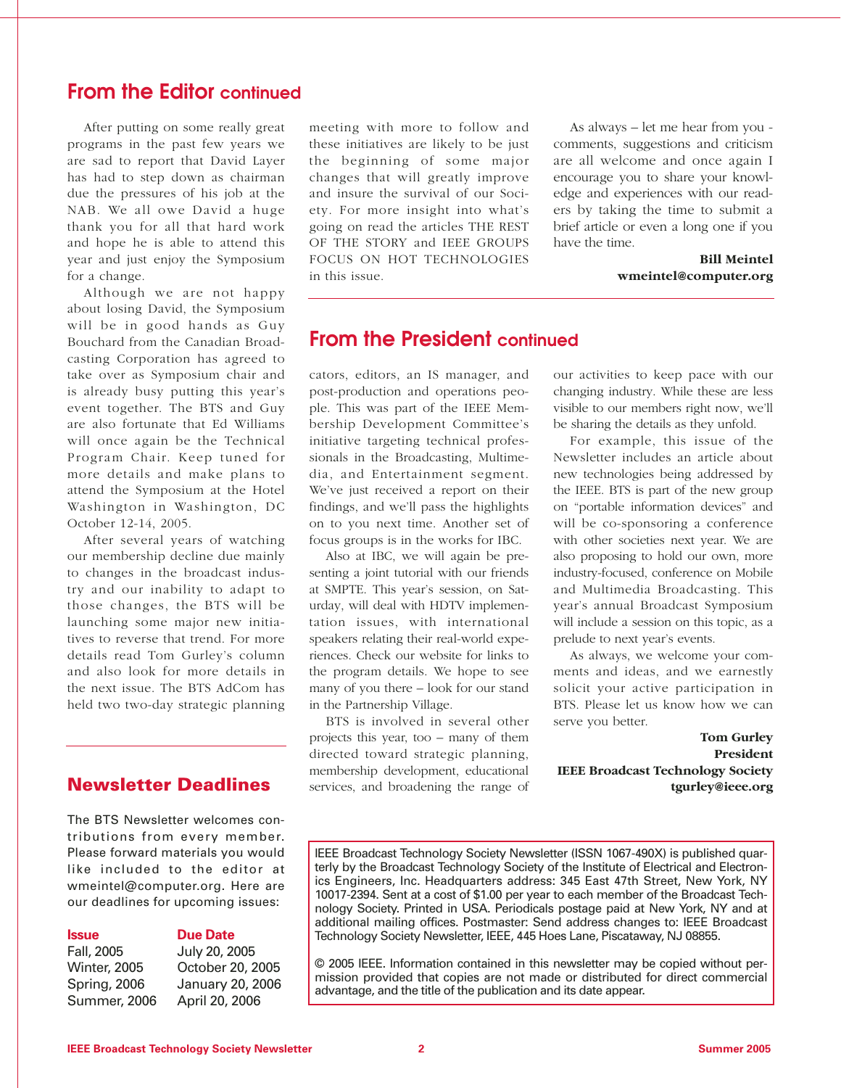### **From the Editor continued**

After putting on some really great programs in the past few years we are sad to report that David Layer has had to step down as chairman due the pressures of his job at the NAB. We all owe David a huge thank you for all that hard work and hope he is able to attend this year and just enjoy the Symposium for a change.

Although we are not happy about losing David, the Symposium will be in good hands as Guy Bouchard from the Canadian Broadcasting Corporation has agreed to take over as Symposium chair and is already busy putting this year's event together. The BTS and Guy are also fortunate that Ed Williams will once again be the Technical Program Chair. Keep tuned for more details and make plans to attend the Symposium at the Hotel Washington in Washington, DC October 12-14, 2005.

After several years of watching our membership decline due mainly to changes in the broadcast industry and our inability to adapt to those changes, the BTS will be launching some major new initiatives to reverse that trend. For more details read Tom Gurley's column and also look for more details in the next issue. The BTS AdCom has held two two-day strategic planning

#### **Newsletter Deadlines**

The BTS Newsletter welcomes contributions from every member. Please forward materials you would like included to the editor at wmeintel@computer.org. Here are our deadlines for upcoming issues:

#### **Issue Due Date**

Fall, 2005 July 20, 2005 Winter, 2005 October 20, 2005 Spring, 2006 January 20, 2006 Summer, 2006 April 20, 2006

meeting with more to follow and these initiatives are likely to be just the beginning of some major changes that will greatly improve and insure the survival of our Society. For more insight into what's going on read the articles THE REST OF THE STORY and IEEE GROUPS FOCUS ON HOT TECHNOLOGIES in this issue.

As always – let me hear from you comments, suggestions and criticism are all welcome and once again I encourage you to share your knowledge and experiences with our readers by taking the time to submit a brief article or even a long one if you have the time.

#### **Bill Meintel wmeintel@computer.org**

#### **From the President continued**

cators, editors, an IS manager, and post-production and operations people. This was part of the IEEE Membership Development Committee's initiative targeting technical professionals in the Broadcasting, Multimedia, and Entertainment segment. We've just received a report on their findings, and we'll pass the highlights on to you next time. Another set of focus groups is in the works for IBC.

Also at IBC, we will again be presenting a joint tutorial with our friends at SMPTE. This year's session, on Saturday, will deal with HDTV implementation issues, with international speakers relating their real-world experiences. Check our website for links to the program details. We hope to see many of you there – look for our stand in the Partnership Village.

BTS is involved in several other projects this year, too – many of them directed toward strategic planning, membership development, educational services, and broadening the range of our activities to keep pace with our changing industry. While these are less visible to our members right now, we'll be sharing the details as they unfold.

For example, this issue of the Newsletter includes an article about new technologies being addressed by the IEEE. BTS is part of the new group on "portable information devices" and will be co-sponsoring a conference with other societies next year. We are also proposing to hold our own, more industry-focused, conference on Mobile and Multimedia Broadcasting. This year's annual Broadcast Symposium will include a session on this topic, as a prelude to next year's events.

As always, we welcome your comments and ideas, and we earnestly solicit your active participation in BTS. Please let us know how we can serve you better.

**Tom Gurley President IEEE Broadcast Technology Society tgurley@ieee.org**

© 2005 IEEE. Information contained in this newsletter may be copied without permission provided that copies are not made or distributed for direct commercial advantage, and the title of the publication and its date appear.

IEEE Broadcast Technology Society Newsletter (ISSN 1067-490X) is published quarterly by the Broadcast Technology Society of the Institute of Electrical and Electronics Engineers, Inc. Headquarters address: 345 East 47th Street, New York, NY 10017-2394. Sent at a cost of \$1.00 per year to each member of the Broadcast Technology Society. Printed in USA. Periodicals postage paid at New York, NY and at additional mailing offices. Postmaster: Send address changes to: IEEE Broadcast Technology Society Newsletter, IEEE, 445 Hoes Lane, Piscataway, NJ 08855.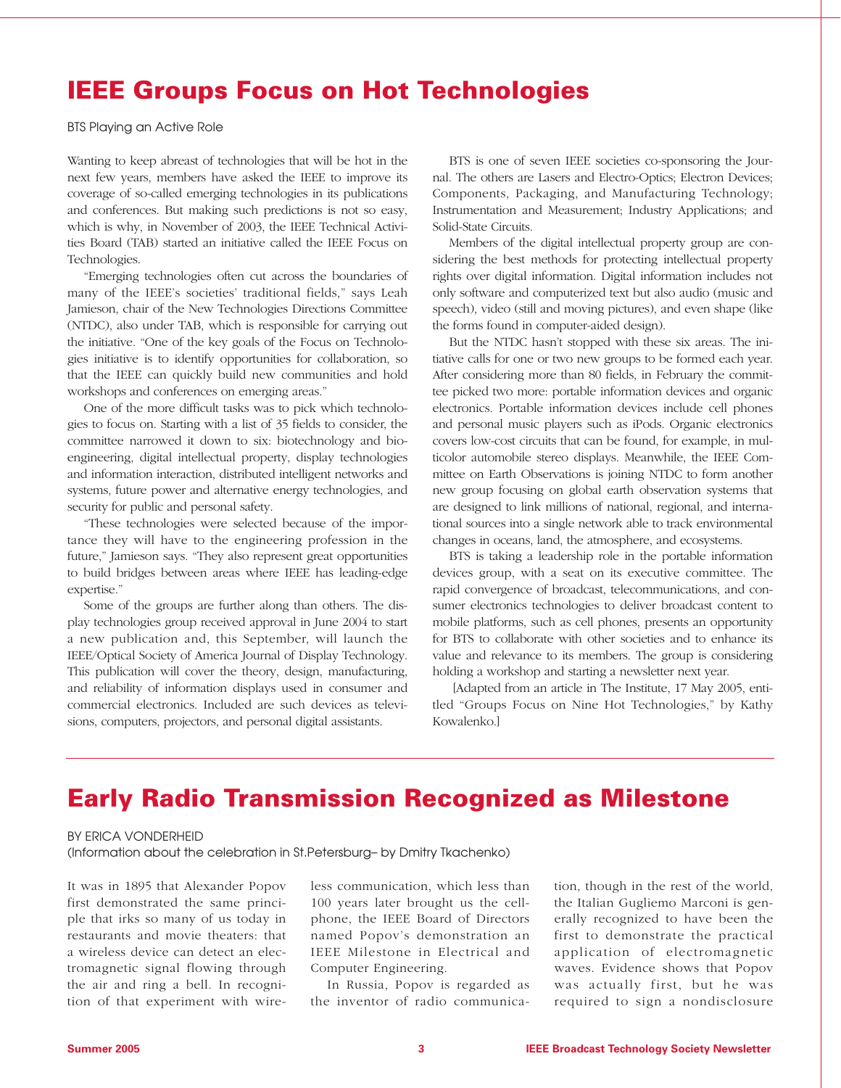## **IEEE Groups Focus on Hot Technologies**

BTS Playing an Active Role

Wanting to keep abreast of technologies that will be hot in the next few years, members have asked the IEEE to improve its coverage of so-called emerging technologies in its publications and conferences. But making such predictions is not so easy, which is why, in November of 2003, the IEEE Technical Activities Board (TAB) started an initiative called the IEEE Focus on Technologies.

"Emerging technologies often cut across the boundaries of many of the IEEE's societies' traditional fields," says Leah Jamieson, chair of the New Technologies Directions Committee (NTDC), also under TAB, which is responsible for carrying out the initiative. "One of the key goals of the Focus on Technologies initiative is to identify opportunities for collaboration, so that the IEEE can quickly build new communities and hold workshops and conferences on emerging areas."

One of the more difficult tasks was to pick which technologies to focus on. Starting with a list of 35 fields to consider, the committee narrowed it down to six: biotechnology and bioengineering, digital intellectual property, display technologies and information interaction, distributed intelligent networks and systems, future power and alternative energy technologies, and security for public and personal safety.

"These technologies were selected because of the importance they will have to the engineering profession in the future," Jamieson says. "They also represent great opportunities to build bridges between areas where IEEE has leading-edge expertise."

Some of the groups are further along than others. The display technologies group received approval in June 2004 to start a new publication and, this September, will launch the IEEE/Optical Society of America Journal of Display Technology. This publication will cover the theory, design, manufacturing, and reliability of information displays used in consumer and commercial electronics. Included are such devices as televisions, computers, projectors, and personal digital assistants.

BTS is one of seven IEEE societies co-sponsoring the Journal. The others are Lasers and Electro-Optics; Electron Devices; Components, Packaging, and Manufacturing Technology; Instrumentation and Measurement; Industry Applications; and Solid-State Circuits.

Members of the digital intellectual property group are considering the best methods for protecting intellectual property rights over digital information. Digital information includes not only software and computerized text but also audio (music and speech), video (still and moving pictures), and even shape (like the forms found in computer-aided design).

But the NTDC hasn't stopped with these six areas. The initiative calls for one or two new groups to be formed each year. After considering more than 80 fields, in February the committee picked two more: portable information devices and organic electronics. Portable information devices include cell phones and personal music players such as iPods. Organic electronics covers low-cost circuits that can be found, for example, in multicolor automobile stereo displays. Meanwhile, the IEEE Committee on Earth Observations is joining NTDC to form another new group focusing on global earth observation systems that are designed to link millions of national, regional, and international sources into a single network able to track environmental changes in oceans, land, the atmosphere, and ecosystems.

BTS is taking a leadership role in the portable information devices group, with a seat on its executive committee. The rapid convergence of broadcast, telecommunications, and consumer electronics technologies to deliver broadcast content to mobile platforms, such as cell phones, presents an opportunity for BTS to collaborate with other societies and to enhance its value and relevance to its members. The group is considering holding a workshop and starting a newsletter next year.

[Adapted from an article in The Institute, 17 May 2005, entitled "Groups Focus on Nine Hot Technologies," by Kathy Kowalenko.]

## **Early Radio Transmission Recognized as Milestone**

#### BY ERICA VONDERHEID

(Information about the celebration in St.Petersburg– by Dmitry Tkachenko)

It was in 1895 that Alexander Popov first demonstrated the same principle that irks so many of us today in restaurants and movie theaters: that a wireless device can detect an electromagnetic signal flowing through the air and ring a bell. In recognition of that experiment with wireless communication, which less than 100 years later brought us the cellphone, the IEEE Board of Directors named Popov's demonstration an IEEE Milestone in Electrical and Computer Engineering.

In Russia, Popov is regarded as the inventor of radio communication, though in the rest of the world, the Italian Gugliemo Marconi is generally recognized to have been the first to demonstrate the practical application of electromagnetic waves. Evidence shows that Popov was actually first, but he was required to sign a nondisclosure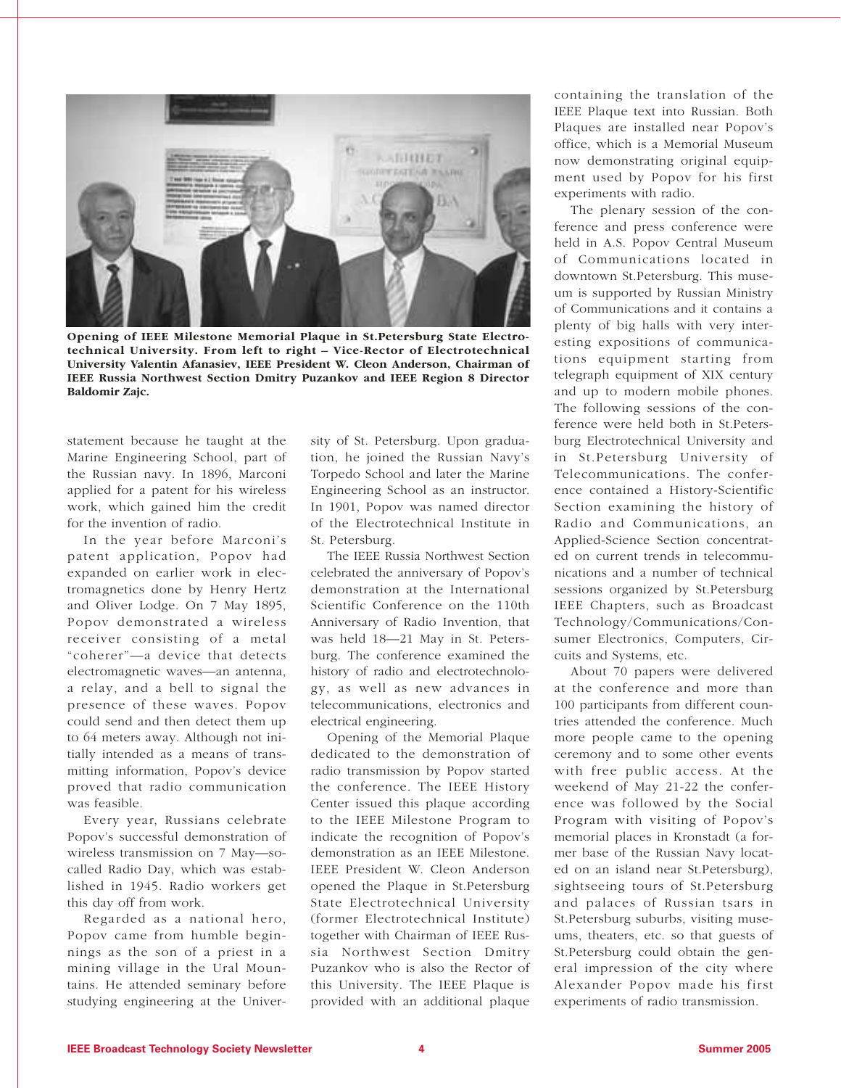

**Opening of IEEE Milestone Memorial Plaque in St.Petersburg State Electrotechnical University. From left to right – Vice-Rector of Electrotechnical University Valentin Afanasiev, IEEE President W. Cleon Anderson, Chairman of IEEE Russia Northwest Section Dmitry Puzankov and IEEE Region 8 Director Baldomir Zajc.**

statement because he taught at the Marine Engineering School, part of the Russian navy. In 1896, Marconi applied for a patent for his wireless work, which gained him the credit for the invention of radio.

In the year before Marconi's patent application, Popov had expanded on earlier work in electromagnetics done by Henry Hertz and Oliver Lodge. On 7 May 1895, Popov demonstrated a wireless receiver consisting of a metal "coherer"—a device that detects electromagnetic waves—an antenna, a relay, and a bell to signal the presence of these waves. Popov could send and then detect them up to 64 meters away. Although not initially intended as a means of transmitting information, Popov's device proved that radio communication was feasible.

Every year, Russians celebrate Popov's successful demonstration of wireless transmission on 7 May—socalled Radio Day, which was established in 1945. Radio workers get this day off from work.

Regarded as a national hero, Popov came from humble beginnings as the son of a priest in a mining village in the Ural Mountains. He attended seminary before studying engineering at the Univer-

sity of St. Petersburg. Upon graduation, he joined the Russian Navy's Torpedo School and later the Marine Engineering School as an instructor. In 1901, Popov was named director of the Electrotechnical Institute in St. Petersburg.

The IEEE Russia Northwest Section celebrated the anniversary of Popov's demonstration at the International Scientific Conference on the 110th Anniversary of Radio Invention, that was held 18—21 May in St. Petersburg. The conference examined the history of radio and electrotechnology, as well as new advances in telecommunications, electronics and electrical engineering.

Opening of the Memorial Plaque dedicated to the demonstration of radio transmission by Popov started the conference. The IEEE History Center issued this plaque according to the IEEE Milestone Program to indicate the recognition of Popov's demonstration as an IEEE Milestone. IEEE President W. Cleon Anderson opened the Plaque in St.Petersburg State Electrotechnical University (former Electrotechnical Institute) together with Chairman of IEEE Russia Northwest Section Dmitry Puzankov who is also the Rector of this University. The IEEE Plaque is provided with an additional plaque

containing the translation of the IEEE Plaque text into Russian. Both Plaques are installed near Popov's office, which is a Memorial Museum now demonstrating original equipment used by Popov for his first experiments with radio.

The plenary session of the conference and press conference were held in A.S. Popov Central Museum of Communications located in downtown St.Petersburg. This museum is supported by Russian Ministry of Communications and it contains a plenty of big halls with very interesting expositions of communications equipment starting from telegraph equipment of XIX century and up to modern mobile phones. The following sessions of the conference were held both in St.Petersburg Electrotechnical University and in St.Petersburg University of Telecommunications. The conference contained a History-Scientific Section examining the history of Radio and Communications, an Applied-Science Section concentrated on current trends in telecommunications and a number of technical sessions organized by St.Petersburg IEEE Chapters, such as Broadcast Technology/Communications/Consumer Electronics, Computers, Circuits and Systems, etc.

About 70 papers were delivered at the conference and more than 100 participants from different countries attended the conference. Much more people came to the opening ceremony and to some other events with free public access. At the weekend of May 21-22 the conference was followed by the Social Program with visiting of Popov's memorial places in Kronstadt (a former base of the Russian Navy located on an island near St.Petersburg), sightseeing tours of St.Petersburg and palaces of Russian tsars in St.Petersburg suburbs, visiting museums, theaters, etc. so that guests of St.Petersburg could obtain the general impression of the city where Alexander Popov made his first experiments of radio transmission.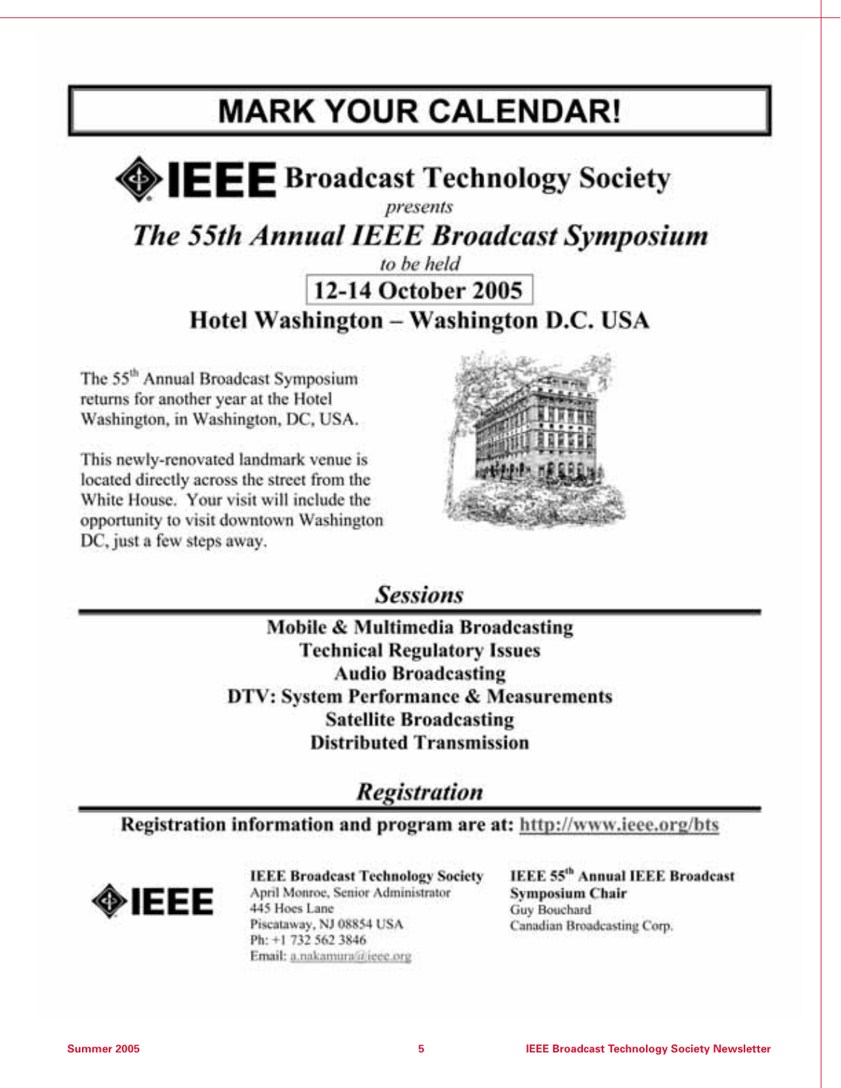## **MARK YOUR CALENDAR!**



The 55th Annual IEEE Broadcast Symposium

## to be held 12-14 October 2005 Hotel Washington - Washington D.C. USA

The 55<sup>th</sup> Annual Broadcast Symposium returns for another year at the Hotel Washington, in Washington, DC, USA.

This newly-renovated landmark venue is located directly across the street from the White House. Your visit will include the opportunity to visit downtown Washington DC, just a few steps away.



**Sessions** 

Mobile & Multimedia Broadcasting **Technical Regulatory Issues Audio Broadcasting DTV: System Performance & Measurements Satellite Broadcasting Distributed Transmission** 

**Registration** 

Registration information and program are at: http://www.ieee.org/bts

⊁IEEE

**IEEE Broadcast Technology Society** April Monroe, Senior Administrator 445 Hoes Lane Piscataway, NJ 08854 USA Ph: +1 732 562 3846 Email: a.nakamura@ieee.org

**IEEE 55th Annual IEEE Broadcast Symposium Chair** Guy Bouchard Canadian Broadcasting Corp.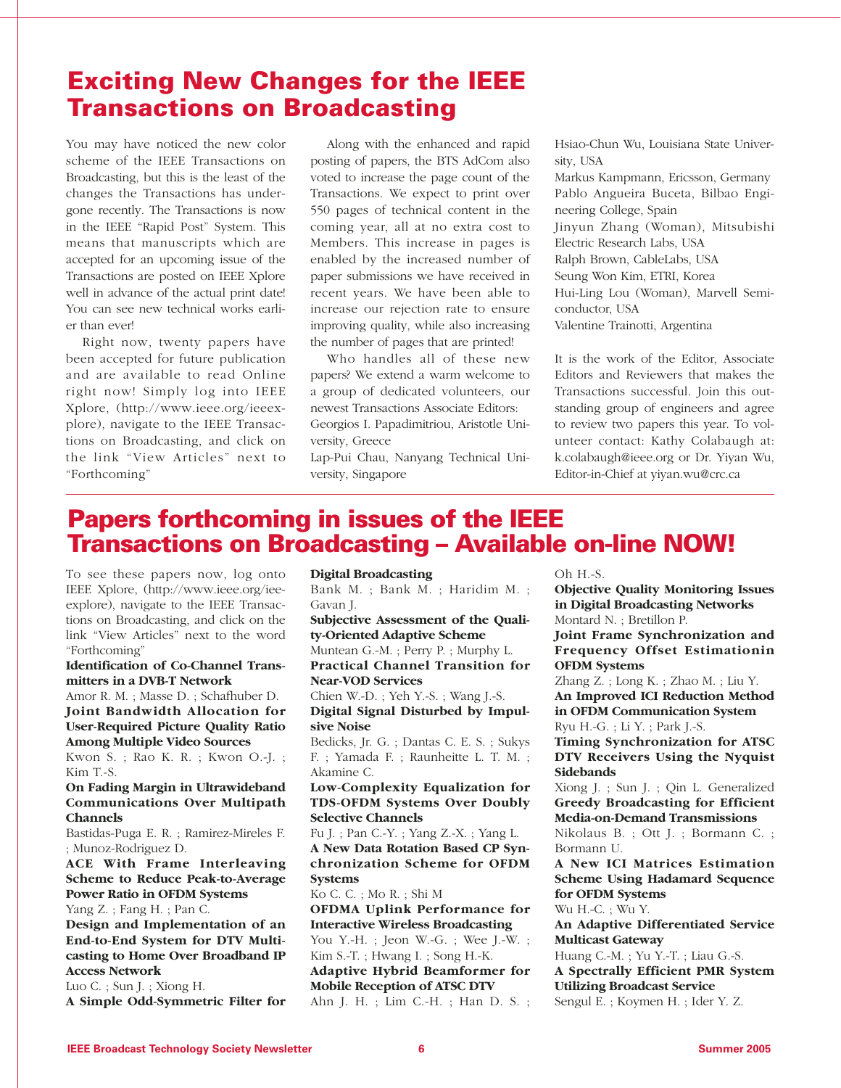## **Exciting New Changes for the IEEE Transactions on Broadcasting**

You may have noticed the new color scheme of the IEEE Transactions on Broadcasting, but this is the least of the changes the Transactions has undergone recently. The Transactions is now in the IEEE "Rapid Post" System. This means that manuscripts which are accepted for an upcoming issue of the Transactions are posted on IEEE Xplore well in advance of the actual print date! You can see new technical works earlier than ever!

Right now, twenty papers have been accepted for future publication and are available to read Online right now! Simply log into IEEE Xplore, (http://www.ieee.org/ieeexplore), navigate to the IEEE Transactions on Broadcasting, and click on the link "View Articles" next to "Forthcoming"

Along with the enhanced and rapid posting of papers, the BTS AdCom also voted to increase the page count of the Transactions. We expect to print over 550 pages of technical content in the coming year, all at no extra cost to Members. This increase in pages is enabled by the increased number of paper submissions we have received in recent years. We have been able to increase our rejection rate to ensure improving quality, while also increasing the number of pages that are printed!

Who handles all of these new papers? We extend a warm welcome to a group of dedicated volunteers, our newest Transactions Associate Editors: Georgios I. Papadimitriou, Aristotle University, Greece

Lap-Pui Chau, Nanyang Technical University, Singapore

Hsiao-Chun Wu, Louisiana State University, USA

Markus Kampmann, Ericsson, Germany Pablo Angueira Buceta, Bilbao Engineering College, Spain Jinyun Zhang (Woman), Mitsubishi Electric Research Labs, USA Ralph Brown, CableLabs, USA Seung Won Kim, ETRI, Korea Hui-Ling Lou (Woman), Marvell Semiconductor, USA Valentine Trainotti, Argentina

It is the work of the Editor, Associate Editors and Reviewers that makes the Transactions successful. Join this outstanding group of engineers and agree to review two papers this year. To volunteer contact: Kathy Colabaugh at: k.colabaugh@ieee.org or Dr. Yiyan Wu, Editor-in-Chief at yiyan.wu@crc.ca

## **Papers forthcoming in issues of the IEEE Transactions on Broadcasting – Available on-line NOW!**

To see these papers now, log onto IEEE Xplore, (http://www.ieee.org/ieeexplore), navigate to the IEEE Transactions on Broadcasting, and click on the link "View Articles" next to the word "Forthcoming"

**Identification of Co-Channel Transmitters in a DVB-T Network** 

Amor R. M. ; Masse D. ; Schafhuber D. **Joint Bandwidth Allocation for User-Required Picture Quality Ratio Among Multiple Video Sources** 

Kwon S. ; Rao K. R. ; Kwon O.-J. ; Kim T.-S.

#### **On Fading Margin in Ultrawideband Communications Over Multipath Channels**

Bastidas-Puga E. R. ; Ramirez-Mireles F. ; Munoz-Rodriguez D.

**ACE With Frame Interleaving Scheme to Reduce Peak-to-Average Power Ratio in OFDM Systems**  Yang Z. ; Fang H. ; Pan C.

**Design and Implementation of an End-to-End System for DTV Multicasting to Home Over Broadband IP Access Network** 

Luo C. ; Sun J. ; Xiong H. **A Simple Odd-Symmetric Filter for**

#### **Digital Broadcasting**

Bank M. ; Bank M. ; Haridim M. ; Gavan J.

**Subjective Assessment of the Quality-Oriented Adaptive Scheme**  Muntean G.-M. ; Perry P. ; Murphy L.

**Practical Channel Transition for Near-VOD Services** 

Chien W.-D. ; Yeh Y.-S. ; Wang J.-S. **Digital Signal Disturbed by Impulsive Noise** 

Bedicks, Jr. G. ; Dantas C. E. S. ; Sukys F. ; Yamada F. ; Raunheitte L. T. M. ; Akamine C.

**Low-Complexity Equalization for TDS-OFDM Systems Over Doubly Selective Channels** 

Fu J. ; Pan C.-Y. ; Yang Z.-X. ; Yang L. **A New Data Rotation Based CP Synchronization Scheme for OFDM Systems** 

Ko C. C. ; Mo R. ; Shi M **OFDMA Uplink Performance for Interactive Wireless Broadcasting** 

You Y.-H. ; Jeon W.-G. ; Wee J.-W. ; Kim S.-T. ; Hwang I. ; Song H.-K.

**Adaptive Hybrid Beamformer for Mobile Reception of ATSC DTV**  Ahn J. H. ; Lim C.-H. ; Han D. S. ;  $Oh H-S.$ 

**Objective Quality Monitoring Issues in Digital Broadcasting Networks**  Montard N. ; Bretillon P. **Joint Frame Synchronization and**

**Frequency Offset Estimationin OFDM Systems** 

Zhang Z. ; Long K. ; Zhao M. ; Liu Y. **An Improved ICI Reduction Method in OFDM Communication System**  Ryu H.-G. ; Li Y. ; Park J.-S.

**Timing Synchronization for ATSC DTV Receivers Using the Nyquist Sidebands** 

Xiong J. ; Sun J. ; Qin L. Generalized **Greedy Broadcasting for Efficient Media-on-Demand Transmissions** 

Nikolaus B. ; Ott J. ; Bormann C. ; Bormann U.

**A New ICI Matrices Estimation Scheme Using Hadamard Sequence for OFDM Systems** 

Wu H.-C. ; Wu Y.

**An Adaptive Differentiated Service Multicast Gateway** 

Huang C.-M. ; Yu Y.-T. ; Liau G.-S. **A Spectrally Efficient PMR System Utilizing Broadcast Service**  Sengul E. ; Koymen H. ; Ider Y. Z.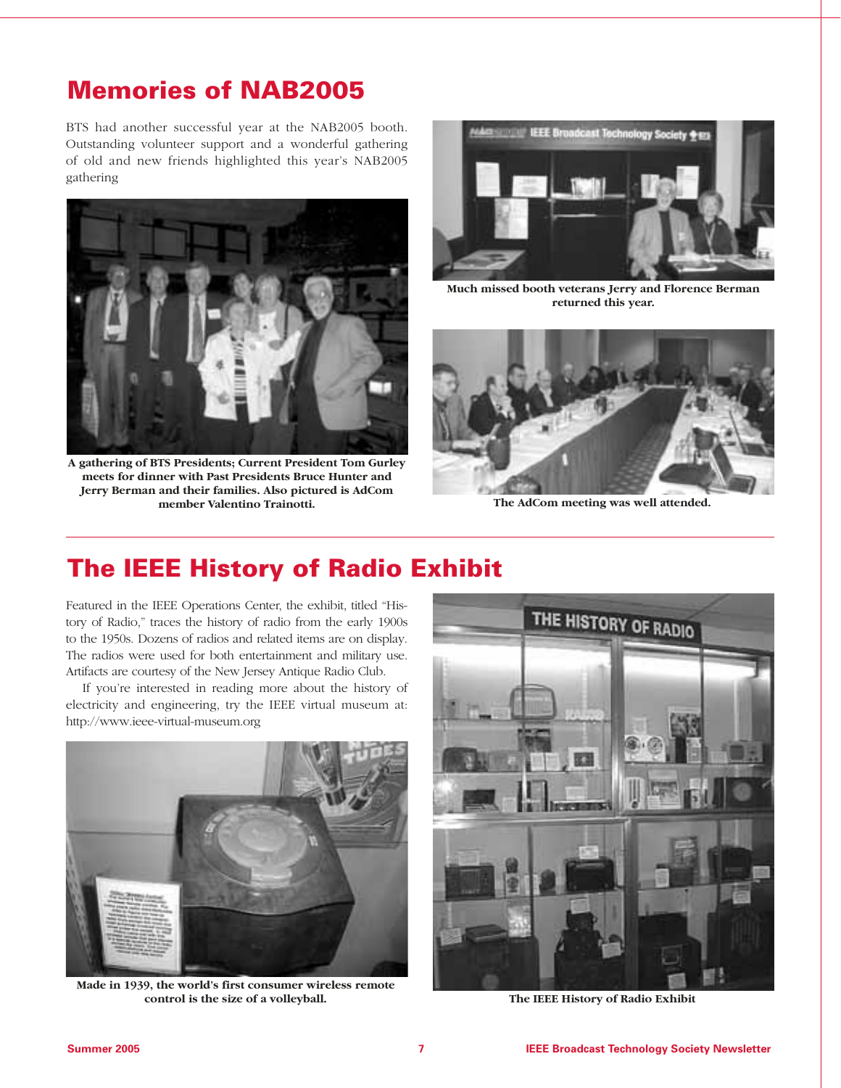## **Memories of NAB2005**

BTS had another successful year at the NAB2005 booth. Outstanding volunteer support and a wonderful gathering of old and new friends highlighted this year's NAB2005 gathering



**A gathering of BTS Presidents; Current President Tom Gurley meets for dinner with Past Presidents Bruce Hunter and Jerry Berman and their families. Also pictured is AdCom member Valentino Trainotti.** 



**Much missed booth veterans Jerry and Florence Berman returned this year.**



**The AdCom meeting was well attended.**

## **The IEEE History of Radio Exhibit**

Featured in the IEEE Operations Center, the exhibit, titled "History of Radio," traces the history of radio from the early 1900s to the 1950s. Dozens of radios and related items are on display. The radios were used for both entertainment and military use. Artifacts are courtesy of the New Jersey Antique Radio Club.

If you're interested in reading more about the history of electricity and engineering, try the IEEE virtual museum at: http://www.ieee-virtual-museum.org



**Made in 1939, the world's first consumer wireless remote control is the size of a volleyball.**



**The IEEE History of Radio Exhibit**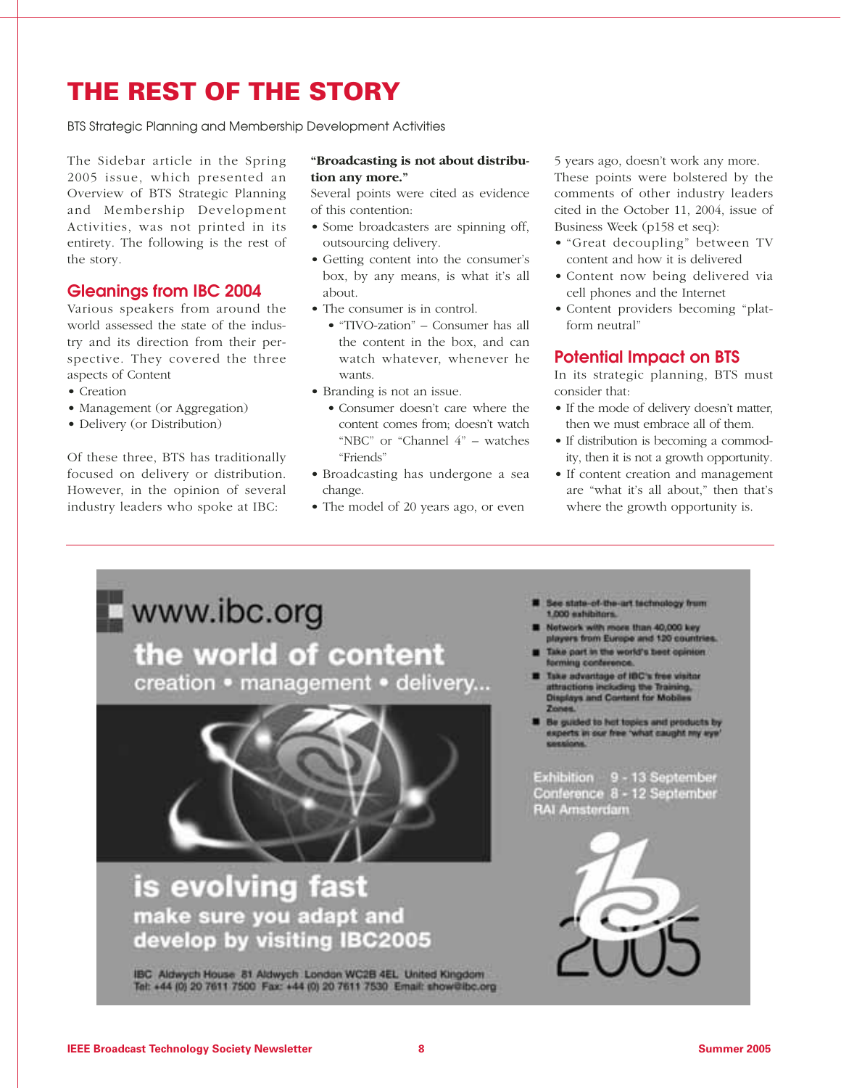## **THE REST OF THE STORY**

BTS Strategic Planning and Membership Development Activities

The Sidebar article in the Spring 2005 issue, which presented an Overview of BTS Strategic Planning and Membership Development Activities, was not printed in its entirety. The following is the rest of the story.

#### **Gleanings from IBC 2004**

Various speakers from around the world assessed the state of the industry and its direction from their perspective. They covered the three aspects of Content

- Creation
- Management (or Aggregation)
- Delivery (or Distribution)

Of these three, BTS has traditionally focused on delivery or distribution. However, in the opinion of several industry leaders who spoke at IBC:

#### **"Broadcasting is not about distribution any more."**

Several points were cited as evidence of this contention:

- Some broadcasters are spinning off, outsourcing delivery.
- Getting content into the consumer's box, by any means, is what it's all about.
- The consumer is in control.
	- "TIVO-zation" Consumer has all the content in the box, and can watch whatever, whenever he wants.
- Branding is not an issue.
	- Consumer doesn't care where the content comes from; doesn't watch "NBC" or "Channel 4" – watches "Friends"
- Broadcasting has undergone a sea change.
- The model of 20 years ago, or even

5 years ago, doesn't work any more. These points were bolstered by the comments of other industry leaders cited in the October 11, 2004, issue of Business Week (p158 et seq):

- "Great decoupling" between TV content and how it is delivered
- Content now being delivered via cell phones and the Internet
- Content providers becoming "platform neutral"

#### **Potential Impact on BTS**

In its strategic planning, BTS must consider that:

- If the mode of delivery doesn't matter, then we must embrace all of them.
- If distribution is becoming a commodity, then it is not a growth opportunity.
- If content creation and management are "what it's all about," then that's where the growth opportunity is.

# www.ibc.org the world of content creation · management · delivery... is evolving fast make sure you adapt and<br>develop by visiting IBC2005

IBC Aldwych House 81 Aldwych London WC2B 4EL United Kingdom Tel: +44 (0) 20 7611 7500 Fax: +44 (0) 20 7611 7530 Email: show@lbc.org

- to state-of-the-art factmology from 1.000 exhibitors.
- Notwork with more than 40,000 key players from Europe and 120 countrie
- Take part in the world's best opinion. forming conterence
- Take advantage of IBC's free visitor<br>attractions including the Training.<br>Displays and Content for Mobiles
- Be guided to hot topics and products by<br>experts in our free 'what caught my eye'

Exhibition 9 - 13 September Conference 8 - 12 September **RAI Amsterdam** 

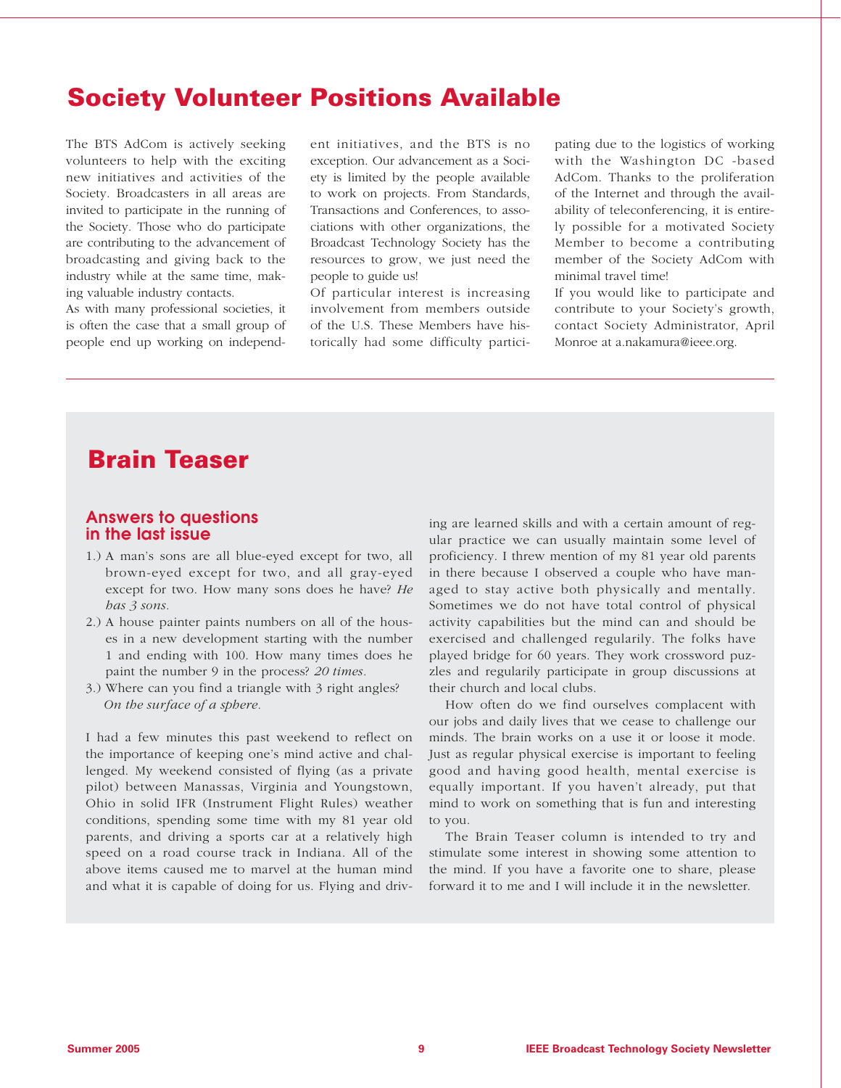## **Society Volunteer Positions Available**

The BTS AdCom is actively seeking volunteers to help with the exciting new initiatives and activities of the Society. Broadcasters in all areas are invited to participate in the running of the Society. Those who do participate are contributing to the advancement of broadcasting and giving back to the industry while at the same time, making valuable industry contacts.

As with many professional societies, it is often the case that a small group of people end up working on independent initiatives, and the BTS is no exception. Our advancement as a Society is limited by the people available to work on projects. From Standards, Transactions and Conferences, to associations with other organizations, the Broadcast Technology Society has the resources to grow, we just need the people to guide us!

Of particular interest is increasing involvement from members outside of the U.S. These Members have historically had some difficulty participating due to the logistics of working with the Washington DC -based AdCom. Thanks to the proliferation of the Internet and through the availability of teleconferencing, it is entirely possible for a motivated Society Member to become a contributing member of the Society AdCom with minimal travel time!

If you would like to participate and contribute to your Society's growth, contact Society Administrator, April Monroe at a.nakamura@ieee.org.

## **Brain Teaser**

#### **Answers to questions in the last issue**

- 1.) A man's sons are all blue-eyed except for two, all brown-eyed except for two, and all gray-eyed except for two. How many sons does he have? *He has 3 sons.*
- 2.) A house painter paints numbers on all of the houses in a new development starting with the number 1 and ending with 100. How many times does he paint the number 9 in the process? *20 times.*
- 3.) Where can you find a triangle with 3 right angles? *On the surface of a sphere.*

I had a few minutes this past weekend to reflect on the importance of keeping one's mind active and challenged. My weekend consisted of flying (as a private pilot) between Manassas, Virginia and Youngstown, Ohio in solid IFR (Instrument Flight Rules) weather conditions, spending some time with my 81 year old parents, and driving a sports car at a relatively high speed on a road course track in Indiana. All of the above items caused me to marvel at the human mind and what it is capable of doing for us. Flying and driving are learned skills and with a certain amount of regular practice we can usually maintain some level of proficiency. I threw mention of my 81 year old parents in there because I observed a couple who have managed to stay active both physically and mentally. Sometimes we do not have total control of physical activity capabilities but the mind can and should be exercised and challenged regularily. The folks have played bridge for 60 years. They work crossword puzzles and regularily participate in group discussions at their church and local clubs.

How often do we find ourselves complacent with our jobs and daily lives that we cease to challenge our minds. The brain works on a use it or loose it mode. Just as regular physical exercise is important to feeling good and having good health, mental exercise is equally important. If you haven't already, put that mind to work on something that is fun and interesting to you.

The Brain Teaser column is intended to try and stimulate some interest in showing some attention to the mind. If you have a favorite one to share, please forward it to me and I will include it in the newsletter.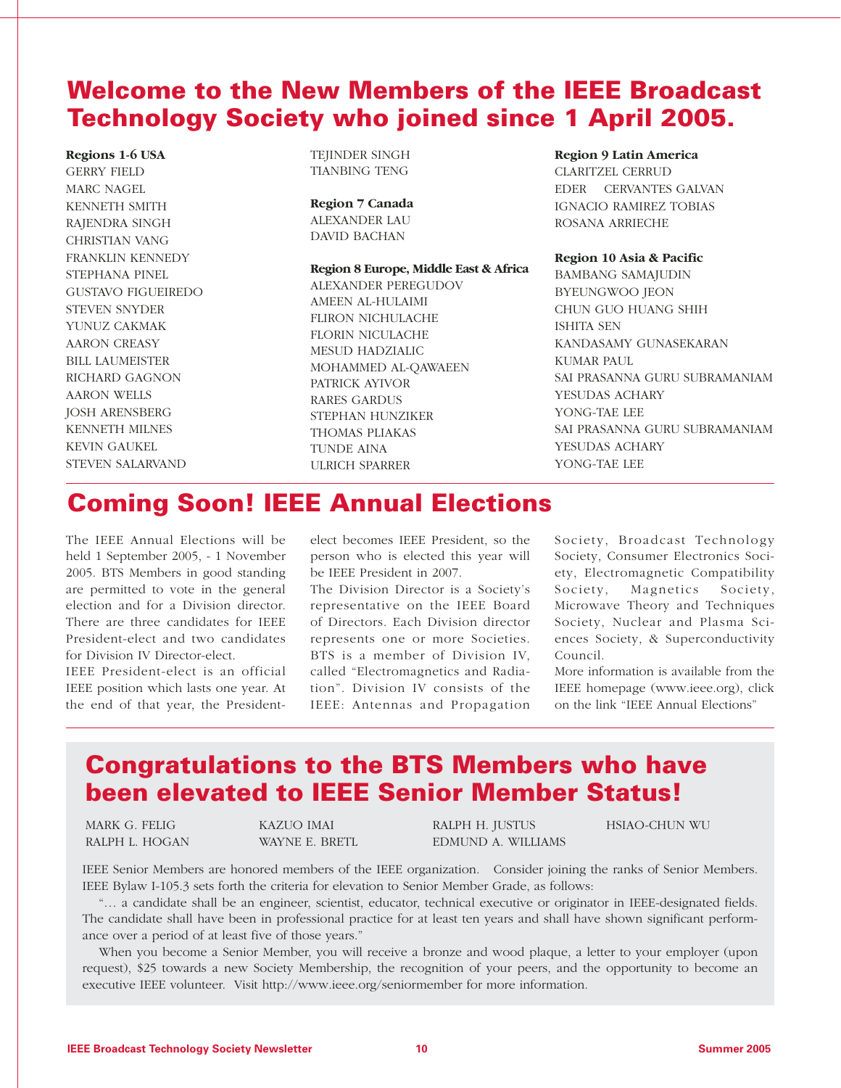## **Welcome to the New Members of the IEEE Broadcast Technology Society who joined since 1 April 2005.**

**Regions 1-6 USA** GERRY FIELD MARC NAGEL KENNETH SMITH RAJENDRA SINGH CHRISTIAN VANG FRANKLIN KENNEDY STEPHANA PINEL GUSTAVO FIGUEIREDO STEVEN SNYDER YUNUZ CAKMAK AARON CREASY BILL LAUMEISTER RICHARD GAGNON AARON WELLS JOSH ARENSBERG KENNETH MILNES KEVIN GAUKEL STEVEN SALARVAND

TEIINDER SINGH TIANBING TENG

#### **Region 7 Canada**

ALEXANDER LAU DAVID BACHAN

#### **Region 8 Europe, Middle East & Africa**

ALEXANDER PEREGUDOV AMEEN AL-HULAIMI FLIRON NICHULACHE FLORIN NICULACHE MESUD HADZIALIC MOHAMMED AL-QAWAEEN PATRICK AYIVOR RARES GARDUS STEPHAN HUNZIKER THOMAS PLIAKAS TUNDE AINA ULRICH SPARRER

#### **Region 9 Latin America**

CLARITZEL CERRUD EDER CERVANTES GALVAN IGNACIO RAMIREZ TOBIAS ROSANA ARRIECHE

#### **Region 10 Asia & Pacific**

BAMBANG SAMAJUDIN BYEUNGWOO JEON CHUN GUO HUANG SHIH ISHITA SEN KANDASAMY GUNASEKARAN KUMAR PAUL SAI PRASANNA GURU SUBRAMANIAM YESUDAS ACHARY YONG-TAE LEE SAI PRASANNA GURU SUBRAMANIAM YESUDAS ACHARY YONG-TAE LEE

## **Coming Soon! IEEE Annual Elections**

The IEEE Annual Elections will be held 1 September 2005, - 1 November 2005. BTS Members in good standing are permitted to vote in the general election and for a Division director. There are three candidates for IEEE President-elect and two candidates for Division IV Director-elect.

IEEE President-elect is an official IEEE position which lasts one year. At the end of that year, the Presidentelect becomes IEEE President, so the person who is elected this year will be IEEE President in 2007.

The Division Director is a Society's representative on the IEEE Board of Directors. Each Division director represents one or more Societies. BTS is a member of Division IV, called "Electromagnetics and Radiation". Division IV consists of the IEEE: Antennas and Propagation Society, Broadcast Technology Society, Consumer Electronics Society, Electromagnetic Compatibility Society, Magnetics Society, Microwave Theory and Techniques Society, Nuclear and Plasma Sciences Society, & Superconductivity Council.

More information is available from the IEEE homepage (www.ieee.org), click on the link "IEEE Annual Elections"

## **Congratulations to the BTS Members who have been elevated to IEEE Senior Member Status!**

MARK G. FELIG RALPH L. HOGAN KAZUO IMAI WAYNE E. BRETL RALPH H. JUSTUS EDMUND A. WILLIAMS HSIAO-CHUN WU

IEEE Senior Members are honored members of the IEEE organization. Consider joining the ranks of Senior Members. IEEE Bylaw I-105.3 sets forth the criteria for elevation to Senior Member Grade, as follows:

"… a candidate shall be an engineer, scientist, educator, technical executive or originator in IEEE-designated fields. The candidate shall have been in professional practice for at least ten years and shall have shown significant performance over a period of at least five of those years."

When you become a Senior Member, you will receive a bronze and wood plaque, a letter to your employer (upon request), \$25 towards a new Society Membership, the recognition of your peers, and the opportunity to become an executive IEEE volunteer. Visit http://www.ieee.org/seniormember for more information.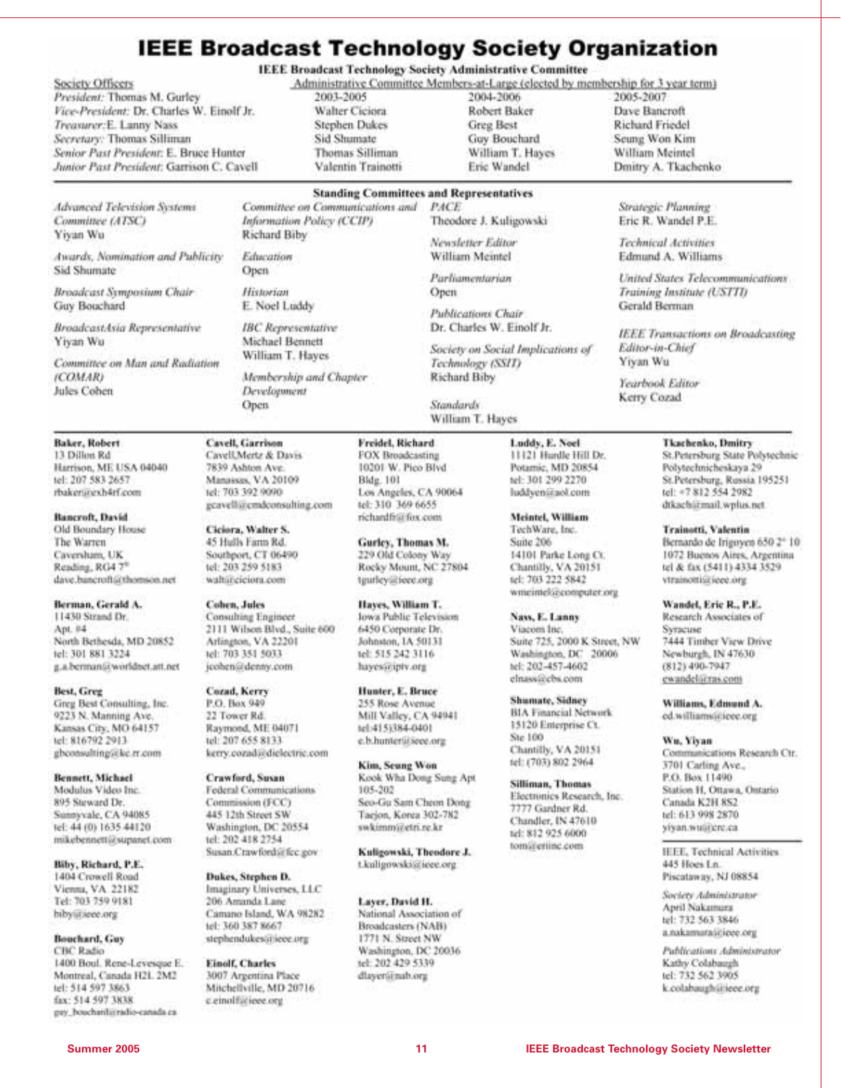## **IEEE Broadcast Technology Society Organization**

#### Society Officers

President: Thomas M. Gurley Vice-President: Dr. Charles W. Einolf Jr. Treasurer:E. Lanny Nass Secretary: Thomas Silliman Senior Past President: E. Bruce Hunter Junior Past President: Garrison C. Cavell

**IEEE Broadcast Technology Society Administrative Committee** 

Administrative Committee Members-at-Large (elected by membership for 3 year term)

Theodore J. Kuligowski

Newsletter Editor

William Meintel

Parliamentarian

**Publications Chair** Dr. Charles W. Einolf Jr.

Technology (SSID)

Richard Biby

Standards William T. Hayes

Society on Social Implications of

Open

2001-2005 Walter Ciciora **Stephen Dukes** Sid Shumate **Thomas Silliman** Valentin Trainotti 2004-2006 Robert Baker **Greg Best** Guy Bouchard William T. Haves Eric Wandel

2005-2007 Dave Bancroft Richard Friedel Seung Won Kim William Meintel Dmitry A. Tkachenko

Strategic Planning

Eric R. Wandel P.E.

Technical Activities

Gerald Berman

Editor-in-Chief

Yearbook Editor

Kerry Cozad

Yiyan Wu

Edmund A. Williams

Training Institute (USTTI)

United States Telecommunications.

IEEE Transactions on Broadcasting

#### **Standing Committees and Representatives** Committee on Communications and PACE

**Advanced Television Systems** Committee (ATSC) Yiyan Wu

Awards, Nomination and Publicity Sid Shumate

Broadcast Symposium Chair Guy Bouchard

BroadcastAsia Representative Yiyan Wu

Committee on Man and Radiation (COMAR) Jules Cohen

Baker, Robert 13 Dillon Rd Harrison, ME USA 04040 tel: 207 583 2657 rbaker@exh4rf.com

Bancroft, David Old Boundary House The Warren Caversham, UK Reading, RG4 7\* dave, bancroft@thomson.net

Berman, Gerald A. 11430 Strand Dr. Apt. #4 North Bethesda, MD 20852 tel: 301 881 3224 g.a.berman@worldnet.att.net

Best, Greg Greg Best Consulting, Inc. 9223 N. Manning Ave. Kansas City, MO 64157 tel: 816792 2913 gbconsulting@kc.rr.com

**Bennett**, Michael Modulus Video Inc. 895 Steward Dr. Sunnyvale, CA 94085 tel: 44 (0) 1635 44120 mikebennett@supanet.com

Biby, Richard, P.E. 1404 Crowell Road Vienna, VA. 22182 Tel: 703 759 9181 hiby@iece.org

Bouchard, Guy **CBC Radio** 1400 Boul. Rene-Levesque E. Montreal, Canada H21. 2M2 tel: 514 597 3863 fax: 514 597 3838 pay\_bouchard@radio-canada.ca

Richard Biby Education Open Historian E. Noel Luddy **IBC** Representative Michael Bennett William T. Hayes

Information Policy (CCIP)

Membership and Chapter Development Open

Cavell, Garrison

7839 Ashton Ave.

tel: 703 392 9090

Ciciora, Walter S.

45 Hulls Farm Rd.

tel: 203 259 5183

waltúrciciora.com

Consulting Engineer

Arlington, VA 22201

tel: 703 351 5033

Cozad, Kerry

P.O. Box 949

22 Tower Rd.

jeohen@denny.com

Raymond, ME 04071

kerry.cozadsedielectric.com

Federal Communications

Washington, DC 20554

Susan.Crawford@fcc.gov

Camano Island, WA 98282

stephendukes@iece.org

3007 Argentina Place

Mitchellville, MD 20716

tel: 207 655 8133

Crawford, Susan

Commission (FCC)

445 12th Street SW

Dukes, Stephen D. Imaginary Universes, LLC

206 Amanda Lane

tel: 360 387 8667

**Einolf, Charles** 

c.einolfacieee.org

tel: 202 418 2754

2111 Wilson Blvd., Suite 600

**Cohen**, Jules

Southport, CT 06490

geavell@cmdconsulting.com

Freidel, Richard FOX Broadcasting 10201 W. Pico Blvd **Bldg.** 101 Los Angeles, CA 90064 tel: 310 369 6655 richardfr@fox.com

> Rocky Mount, NC 27804 tgurley@iece.org

Hayes, William T. Jowa Public Television 6450 Corporate Dr. Johnston, IA 50131 tel: 515 242 3116 hayes@iptv.org

Hunter, E. Bruce 255 Rose Avenue Mill Valley, CA 94941 tel:415(384-040) e.b.hunter@icee.org

Kim, Seung Won Kook Wha Dong Sung Apt 105-202 Seo-Gu Sam Cheon Dong Taejon, Korea 302-782 swkimm@etri.re.kr

Kuligowski, Theodore J. t.kuligowski@ieee.org

Layer, David H. National Association of Broadcasters (NAB) 1771 N. Street NW Washington, DC 20036 tel: 202 429 5339 dlayer@nab.org

Luddy, E. Noel 11121 Hurdle Hill Dr. Potamic, MD 20854 tel: 101 200 2270 luddyen@aol.com

Meintel, William TechWare, Inc. Suite 206 14101 Parke Long Ct. Chantilly, VA 20151 tel: 703 222 5842 writeintelsecomputer.org

Nass, E. Lanny Viacom Inc. Suite 725, 2000 K Street, NW Washington, DC 20006 tel: 202-457-4602 elnass@cbs.com

Shumate, Sidney **BIA Financial Network** 15120 Enterprise Ct. Ste 100 Chantilly, VA 20151 tel: (703) 802 2964

Silliman, Thomas Electronics Research, Inc. 7777 Gardner Rd. Chandler, IN 47610 tel: 812 925 6000 tomalertine.com

#### Tkachenko, Dmitry

St.Petersburg State Polytechnic Polytechnicheskaya 29 St.Petersburg, Russia 195251 tel: +7 812 554 2982 dtkachářmail.wplus.net.

Trainotti, Valentin Bernando de Irigoyes 650 2° 10 1072 Buenos Aires, Argentina tel & fax (5411) 4334 3529 vtrainottisitieee.org

Wandel, Eric R., P.E. Research Associates of Syracuse 7444 Timber View Drive Newburgh, IN 47630  $(812)$  490-7947 ewandel@ras.com

Williams, Edmund A. ed.williams@ieee.org

Wu, Yiyan Communications Research Ctr. 3701 Carling Ave., P.O. Box 11490 Station H, Ottawa, Ontario Canada K2H 8S2 tel: 613 998 2870

IEEE, Technical Activities 445 Hoes Ln. Piscataway, NJ 08854

vivan.wuatere.ca.

Society Administrator April Nakamura tel: 732 563 3846 a.nakamarasitieee.org

Publications Administrator Kathy Colabaugh tel: 732 562 3905 k.colabaughütiece.org

Cavell, Mertz & Davis Manassas, VA 20109

> Gurley, Thomas M. 229 Old Colony Way